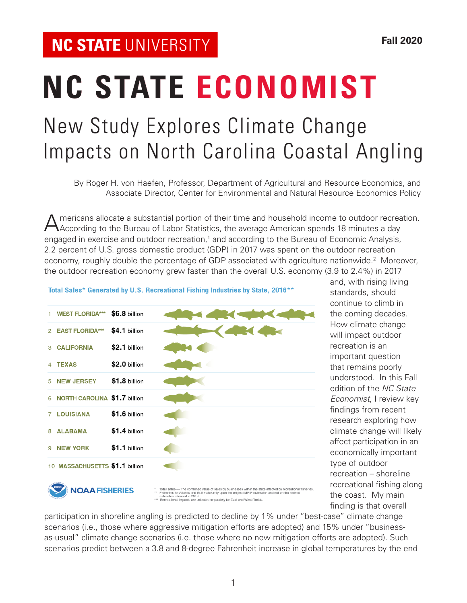# New Study Explores Climate Change Impacts on North Carolina Coastal Angling **NC STATE ECONOMIST**

By Roger H. von Haefen, Professor, Department of Agricultural and Resource Economics, and Associate Director, Center for Environmental and Natural Resource Economics Policy

Americans allocate a substantial portion of their time and household income to outdoor recreation.<br>According to the Bureau of Labor Statistics, the average American spends 18 minutes a day engaged in exercise and outdoor recreation,<sup>1</sup> and according to the Bureau of Economic Analysis, 2.2 percent of U.S. gross domestic product (GDP) in 2017 was spent on the outdoor recreation economy, roughly double the percentage of GDP associated with agriculture nationwide.<sup>2</sup> Moreover, the outdoor recreation economy grew faster than the overall U.S. economy (3.9 to 2.4%) in 2017

|               | <b>WEST FLORIDA***</b>         | \$6.8 billion |                                                                                                                                                                                                                                                                                                                                                    |
|---------------|--------------------------------|---------------|----------------------------------------------------------------------------------------------------------------------------------------------------------------------------------------------------------------------------------------------------------------------------------------------------------------------------------------------------|
| $\mathcal{P}$ | <b>EAST FLORIDA***</b>         | \$4.1 billion |                                                                                                                                                                                                                                                                                                                                                    |
| 3             | <b>CALIFORNIA</b>              | \$2.1 billion |                                                                                                                                                                                                                                                                                                                                                    |
|               | <b>TEXAS</b>                   | \$2.0 billion |                                                                                                                                                                                                                                                                                                                                                    |
| 5             | <b>NEW JERSEY</b>              | \$1.8 billion |                                                                                                                                                                                                                                                                                                                                                    |
| 6             | NORTH CAROLINA \$1.7 billion   |               |                                                                                                                                                                                                                                                                                                                                                    |
| 7             | <b>LOUISIANA</b>               | \$1.6 billion |                                                                                                                                                                                                                                                                                                                                                    |
| 8             | <b>ALABAMA</b>                 | \$1.4 billion |                                                                                                                                                                                                                                                                                                                                                    |
| 9             | <b>NEW YORK</b>                | \$1.1 billion |                                                                                                                                                                                                                                                                                                                                                    |
|               | 10 MASSACHUSETTS \$1.1 billion |               |                                                                                                                                                                                                                                                                                                                                                    |
|               | <b>VOAA FISHERIES</b>          |               | Total sales - The combined value of sales by businesses within the state affected by recreational fisheries.<br>Estimates for Atlantic and Gulf states rely upon the original MRIP estimates and not on the revised<br>$^{\rm{xx}}$<br>estimates released in 2018.<br>*** Recreational impacts are collected separately for East and West Florida. |

Total Sales\* Generated by U.S. Recreational Fishing Industries by State, 2016\*\*

and, with rising living standards, should continue to climb in the coming decades. How climate change will impact outdoor recreation is an important question that remains poorly understood. In this Fall edition of the *NC State Economist*, I review key findings from recent research exploring how climate change will likely affect participation in an economically important type of outdoor recreation – shoreline recreational fishing along the coast. My main finding is that overall

participation in shoreline angling is predicted to decline by 1% under "best-case" climate change scenarios (i.e., those where aggressive mitigation efforts are adopted) and 15% under "businessas-usual" climate change scenarios (i.e. those where no new mitigation efforts are adopted). Such scenarios predict between a 3.8 and 8-degree Fahrenheit increase in global temperatures by the end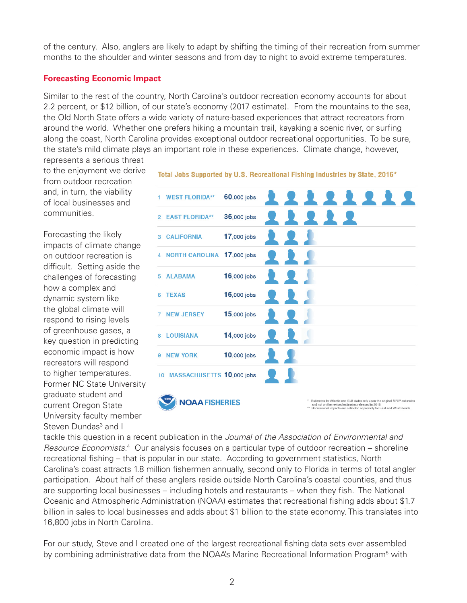of the century. Also, anglers are likely to adapt by shifting the timing of their recreation from summer months to the shoulder and winter seasons and from day to night to avoid extreme temperatures.

### **Forecasting Economic Impact**

Similar to the rest of the country, North Carolina's outdoor recreation economy accounts for about 2.2 percent, or \$12 billion, of our state's economy (2017 estimate). From the mountains to the sea, the Old North State offers a wide variety of nature-based experiences that attract recreators from around the world. Whether one prefers hiking a mountain trail, kayaking a scenic river, or surfing along the coast, North Carolina provides exceptional outdoor recreational opportunities. To be sure, the state's mild climate plays an important role in these experiences. Climate change, however, represents a serious threat

to the enjoyment we derive from outdoor recreation and, in turn, the viability of local businesses and communities.

Forecasting the likely impacts of climate change on outdoor recreation is difficult. Setting aside the challenges of forecasting how a complex and dynamic system like the global climate will respond to rising levels of greenhouse gases, a key question in predicting economic impact is how recreators will respond to higher temperatures. Former NC State University graduate student and current Oregon State University faculty member Steven Dundas<sup>3</sup> and I

|                | <b>WEST FLORIDA**</b>     | 60,000 jobs        | 11111                                                                                                                                                                                                               |
|----------------|---------------------------|--------------------|---------------------------------------------------------------------------------------------------------------------------------------------------------------------------------------------------------------------|
| $\mathfrak{p}$ | <b>EAST FLORIDA**</b>     | 36,000 jobs        |                                                                                                                                                                                                                     |
| 3              | <b>CALIFORNIA</b>         | 17,000 jobs        |                                                                                                                                                                                                                     |
| 4              | <b>NORTH CAROLINA</b>     | <b>17,000 jobs</b> |                                                                                                                                                                                                                     |
| 5              | <b>ALABAMA</b>            | 16,000 jobs        |                                                                                                                                                                                                                     |
| в              | <b>TEXAS</b>              | 16,000 jobs        |                                                                                                                                                                                                                     |
| 7              | <b>NEW JERSEY</b>         | 15,000 jobs        |                                                                                                                                                                                                                     |
| 8              | <b>LOUISIANA</b>          | 14,000 jobs        |                                                                                                                                                                                                                     |
| 9              | <b>NEW YORK</b>           | 10,000 jobs        |                                                                                                                                                                                                                     |
| 10             | MASSACHUSETTS 10,000 jobs |                    |                                                                                                                                                                                                                     |
|                | <b>JOAA FISHERIES</b>     |                    | * Estimates for Atlantic and Gulf states rely upon the original MRIP estimates<br>and not on the revised estimates released in 2018.<br>** Recreational impacts are collected separately for East and West Florida. |

Total Jobs Supported by U.S. Recreational Fishing Industries by State, 2016\*

tackle this question in a recent publication in the *Journal of the Association of Environmental and*  Resource Economists.<sup>4</sup> Our analysis focuses on a particular type of outdoor recreation – shoreline recreational fishing – that is popular in our state. According to government statistics, North Carolina's coast attracts 1.8 million fishermen annually, second only to Florida in terms of total angler participation. About half of these anglers reside outside North Carolina's coastal counties, and thus are supporting local businesses – including hotels and restaurants – when they fish. The National Oceanic and Atmospheric Administration (NOAA) estimates that recreational fishing adds about \$1.7 billion in sales to local businesses and adds about \$1 billion to the state economy. This translates into 16,800 jobs in North Carolina.

For our study, Steve and I created one of the largest recreational fishing data sets ever assembled by combining administrative data from the NOAA's Marine Recreational Information Program<sup>5</sup> with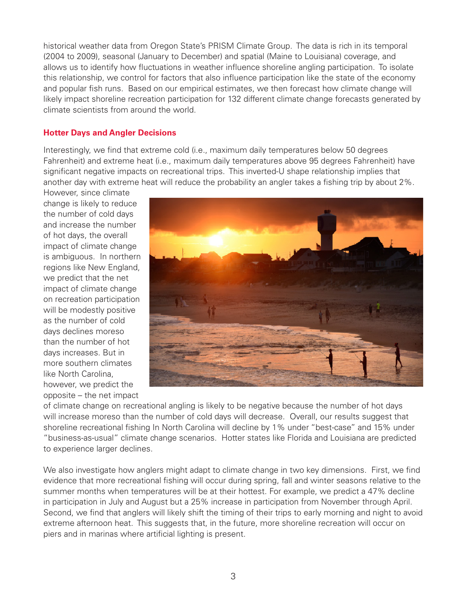historical weather data from Oregon State's PRISM Climate Group. The data is rich in its temporal (2004 to 2009), seasonal (January to December) and spatial (Maine to Louisiana) coverage, and allows us to identify how fluctuations in weather influence shoreline angling participation. To isolate this relationship, we control for factors that also influence participation like the state of the economy and popular fish runs. Based on our empirical estimates, we then forecast how climate change will likely impact shoreline recreation participation for 132 different climate change forecasts generated by climate scientists from around the world.

## **Hotter Days and Angler Decisions**

Interestingly, we find that extreme cold (i.e., maximum daily temperatures below 50 degrees Fahrenheit) and extreme heat (i.e., maximum daily temperatures above 95 degrees Fahrenheit) have significant negative impacts on recreational trips. This inverted-U shape relationship implies that another day with extreme heat will reduce the probability an angler takes a fishing trip by about 2%.

However, since climate change is likely to reduce the number of cold days and increase the number of hot days, the overall impact of climate change is ambiguous. In northern regions like New England, we predict that the net impact of climate change on recreation participation will be modestly positive as the number of cold days declines moreso than the number of hot days increases. But in more southern climates like North Carolina, however, we predict the opposite – the net impact



of climate change on recreational angling is likely to be negative because the number of hot days will increase moreso than the number of cold days will decrease. Overall, our results suggest that shoreline recreational fishing In North Carolina will decline by 1% under "best-case" and 15% under "business-as-usual" climate change scenarios. Hotter states like Florida and Louisiana are predicted to experience larger declines.

We also investigate how anglers might adapt to climate change in two key dimensions. First, we find evidence that more recreational fishing will occur during spring, fall and winter seasons relative to the summer months when temperatures will be at their hottest. For example, we predict a 47% decline in participation in July and August but a 25% increase in participation from November through April. Second, we find that anglers will likely shift the timing of their trips to early morning and night to avoid extreme afternoon heat. This suggests that, in the future, more shoreline recreation will occur on piers and in marinas where artificial lighting is present.